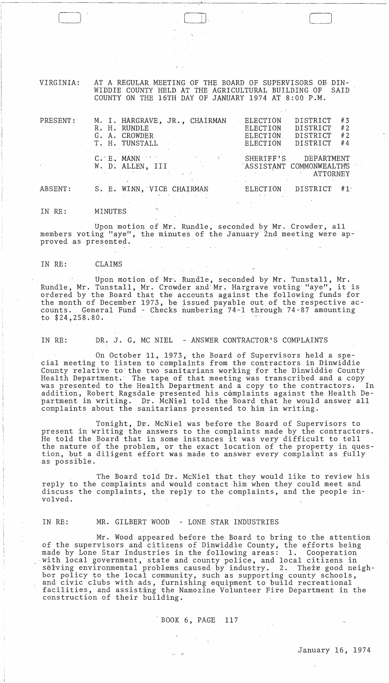VIRGINIA: AT A REGULAR MEETING OF THE BOARD OF SUPERVISORS OB DIN-WIDDIE COUNTY HELD AT THE AGRICULTURAL BUILDING OF COUNTY ON THE 16TH DAY OF JANUARY 1974 AT 8:00 P.M.

 $\Box$ 

| PRESENT: | M. I. HARGRAVE, JR., CHAIRMAN<br>R. H. RUNDLE<br>G. A. CROWDER<br>T. H. TUNSTALL | ELECTION<br>ELECTION<br><b>ELECTION</b><br><b>ELECTION</b> | # 3<br>DISTRICT<br>#2<br>DISTRICT<br># 2<br>DISTRICT<br>DISTRICT<br>#4 |
|----------|----------------------------------------------------------------------------------|------------------------------------------------------------|------------------------------------------------------------------------|
|          | $C.$ $E.$ MANN $\sim$<br><b>Controller State</b><br>W. D. ALLEN, III             | SHERIFF'S                                                  | DEPARTMENT<br>ASSISTANT COMMONWEALTH'S<br>ATTORNEY                     |
| ABSENT:  | S. E. WINN, VICE CHAIRMAN                                                        | ELECTION                                                   | DISTRICT<br>#1                                                         |
| IN RE:   | MINUTES                                                                          |                                                            |                                                                        |

Upon motion of Mr. Rundle, seconded by Mr. Crowder, all members voting "aye", the minutes of the January 2nd meeting were ap-' proved as presented.

### IN RE: CLAIMS

Upon motion of Mr. Rundle, seconded by Mr. Tunstall, Mr. Rundle, Mr. Tunstall, Mr. Crowder and-Mr. Hargrave voting "aye", it is ordered by the Board that the accounts against the following funds for the month of December 1973, be issued payable out of the respective accounts. General Fund - Checks numbering 74-1 through 74-87 amounting to \$24,258.80.

IN RE: DR. J. G. MC NIEL - ANSWER CONTRACTOR'S COMPLAINTS

On October 11, 1973, the Board of Supervisors held a special meeting to listen to complaints from the contractors in Dinwiddie County relative to'the two sanitarians working for the Dinwiddie County Health Department. The tape of that meeting was transcribed and a copy was presented to the Health Department and a copy to the contractors. In was presented to the Health Department and a copy to the contractors. addition, Robert Ragsdale presented his complaints against the Health Department in writing. Dr. McNiel told the Board that he would answer all complaints about the sanitarians presented to him in writing.

Tonight, Dr. McNiel was before the Board of Supervisors to present in writing the answers to the complaints made by the contractors. He told the Board that in some instances it was very difficult to tell the nature of the problem, or the exact location of the property in question, but a diligent effort was made to answer every complaint as fully as possible.<br>as possible.

The Board told Dr. McNiel that they would like to review his reply to the complaints and would contact -him when they could meet and discuss the complaints, the reply to the complaints, and the people involved.

#### IN RE: MR. GILBERT WOOD - LONE STAR INDUSTRIES

Mr. Wood appeared before the Board to bring to the attention of the supervisors and citizens of Dinwiddie County, the efforts being made by Lone Star Industries in the following areas: 1. Cooperation with local government, state and county police, and local citizens in solving environmental problems caused by industry. 2. Their good neighbor policy to the local community, such as supporting county schools, and civic clubs with ads, furnishing equipment to build recreational and civic clubs with ads, furnishing equipment to build recreational<br>facilities, and assisting the Namozine Volunteer Fire Department in the racificities, and assisting the neglection of their building.

BOOK 6, PAGE 117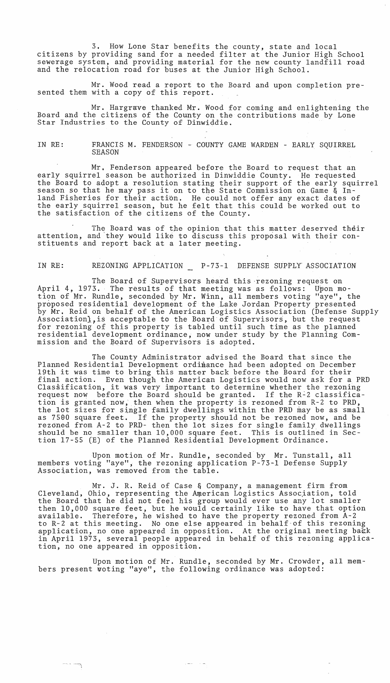3. How Lone Star benefits the county, state and local citizens by providing sand for a needed filter at the Junior High School sewerage system, and providing material for the new county landfill road and the relocation road for buses at the Junior High School.

Mr. Wood read a report to the Board and upon completion presented them with a copy of this report.

Mr. Hargrave thanked Mr. Wood for coming and enlightening the Board and the citizens of the County on the contributions made by Lone Star Industries to the County of Dinwiddie.

IN RE: FRANCIS M. FENDERSON - COUNTY GAME WARDEN - EARLY SQUIRREL SEASON

Mr. Fenderson appeared before the Board to request that an early squirrel season be authorized in Dinwiddie County. He requested the Board to adopt a resolution stating their support of the early squirrel season so that he may pass it on to the State Commission on Game & Inland Fisheries for their action. He could not offer any exact dates of the early squirrel season, but he felt that this could be worked out to the satisfaction of the citizens of the County.

The Board was of the opinion that this matter deserved their attention, and they would like to discuss this proposal with their constituents and report back at a later meeting.

IN RE: REZONING APPLICATION P-73-l DEFENSE SUPPLY ASSOCIATION

The Board of Supervisors heard this rezoning request on April 4, 1973. The results of that meeting was as follpws: Upon motion of Mr. Rundle, seconded by Mr. Winn, all members voting "aye", the proposed residential development of the Lake Jordan Property presented by Mr. Reid on behalf of the American Logistics Association (Defense Supply Association), is acceptable to the Board of Supervisors, but the request for rezoning of this property is tabled until such time as the planned residential development ordinance, now under study by the Planning Commission and the Board of Supervisors is adopted.

The County Administrator advised the Board that since the Planned Residential Development ordinance had been adopted on December 19th it was time to bring this matter back before the Board for their final action. Even though the American Logistics would now ask for a PRD Classification, it was very important to determine whether the rezoning request now before the Board should be granted. If the R-2 classification is granted now, then when the property is rezoned from R-2 to PRD, the lot sizes for single family dwellings within the PRD may be as small as 7500 square feet. If the property should not be rezoned now, and be rezoned from A-2 to PRD- then the lot sizes for single family dwellings should be no smaller than 10,000 square feet. This is outlined in Section 17-55 (E) of the Planned Residential Development Ordinance.

Upon motion of Mr. Rundle, seconded by Mr. Tunstall, all members voting "aye", the rezoning application P-73-l Defense Supply Association, was removed from the table.

Mr. J. R. Reid of Case & Company, a management firm from Cleveland, Ohio, representing the American Logistics Association, told the Board that he did not feel his group would ever use any lot smaller then 10,000 square feet, but he would certainly like to have that option available. Therefore, he wished to have the property rezoned from A-2 to R-2 at this meeting. No one else appeared in behalf-of this rezoning application, no one appeared in opposition. At the original meeting back in April 1973, several people appeared in behalf of this rezoning application, no one appeared in opposition.

Upon motion of Mr. Rundle, seconded by Mr. Crowder, all members present woting "aye", the following ordinance was adopted:

·---:-'i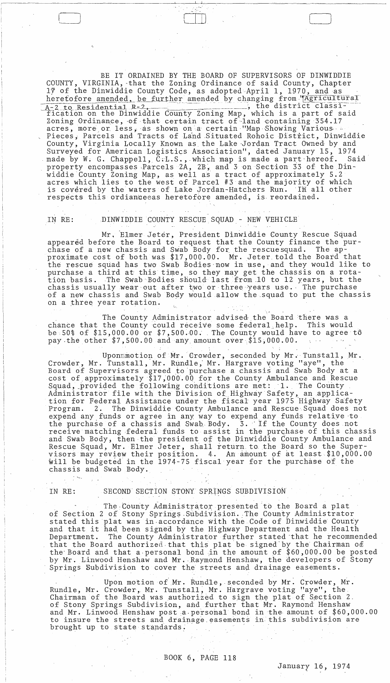BE IT ORDAINED BY THE BOARD OF SUPERVISORS OF DINWIDDIE COUNTY, VIRGINIA, that the Zoning Ordinance of said County, Chapter 17 of the Dinwiddie County Code, as adopted April 1, 1970, and as herefofore amended, be further amended by changing from "Agricultural , the district classi--2 to Residential R-2 A-2 to Residential R-2, and the county Zoning Map, which is a part of said Zoning Ordinance, of that certain tract of land containing 354.17 County, Virginia Locally Known as the Lake Jordan Tract Owned by and Surveyed for American Logistics Association", dated January 15, 1974<br>made by W. G. Chappell, C.L.S., which map is made a part hereof. Samproperty encompasses Parcels 2A, 2B, and 3 on Section 33 of the Din-<br>widdie County Zo Said is covered by the waters of Lake Jordan-Hatchers Run. In all other respects this ordianceeas heretofore amended, is reordained.

#### DINWIDDIE COUNTY RESCUE SQUAD - NEW VEHICLE IN RE:

Mr. Elmer Jeter, President Dinwiddie County Rescue Squad appeared before the Board to request that the County finance the purchase of a new chassis and Swab Body for the rescuesquad. The approximate cost of both was \$17,000.00. Mr. Jeter told the Board that the rescue squad has two Swab Bodies now in use, and they would like to purchase a third at this time, so they may get the chassis on a rotation basis. The Swab Bodies should last from 10 to 12 years, but the chassis usually wear out after two or three years use. The purchase of a new chassis and Swab Body would allow the squad to put the chassis on a three year rotation.

The County Administrator advised the Board there was a chance that the County could receive some federal help. This would be 50% of \$15,000.00 or \$7,500.00. The County would have to agree to pay the other \$7,500.00 and any amount over \$15,000.00.

Uponmmotion of Mr. Crowder, seconded by Mr. Tunstall, Mr. Crowder, Mr. Tunstall, Mr. Rundle, Mr. Hargrave voting "aye", the Board of Supervisors agreed to purchase a chassis and Swab Body at a cost of approximately \$17,000.00 for the County Ambulance and Rescue Squad, provided the following conditions are met: 1. The County<br>Administrator file with the Division of Highway Safety, an applica-<br>tion for Federal Assistance under the fiscal year 1975 Highway Safety<br>Program. 2. The Dinw riogram. 2. The Dinwide County Ambulance and Rescue Squad does not<br>expend any funds or agree in any way to expend any funds relative to<br>the purchase of a chassis and Swab Body. 3. If the County does not<br>receive matching fe chassis and Swab Body.

IN RE:

# SECOND SECTION STONY SPRINGS SUBDIVISION

The County Administrator presented to the Board a plat of Section 2 of Stony Springs Subdivision. The County Administrator stated this plat was in accordance with the Code of Dinwiddie County and that it had been signed by the Highway Department and the Health The County Administrator further stated that he recommended Department. that the Board authorized that this plat be signed by the Chairman of the Board and that a personal bond in the amount of \$60,000.00 be posted by Mr. Linwood Henshaw and Mr. Raymond Henshaw, the developers of Stony Springs Subdivision to cover the streets and drainage easements

Upon motion of Mr. Rundle, seconded by Mr. Crowder, Mr. Rundle, Mr. Crowder, Mr. Tunstall, Mr. Hargrave voting "aye", the Chairman of the Board was authorized to sign the plat of Section 2. of Stony Springs Subdivision, and further that Mr. Raymond Henshaw and Mr. Linwood Henshaw post a personal bond in the amount of \$60,000.00 to insure the streets and drainage easements in this subdivision are brought up to state standards.

 $\Delta \phi = 1.000$  km  $^{-1}$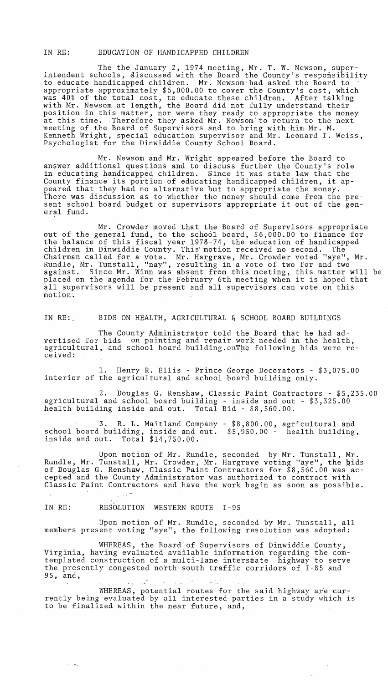IN RE: EDUCATION OF HANDICAPPED CHILDREN

The the January 2, 1974 meeting, Mr. T. W. Newsom, superintendent schools, discussed with the Board the County's responsibility to educate handicapped children. Mr. Newsom"had asked the Board to appropriate approximately \$6,000.00 to cover the County's cost, which was 40% of the total cost, to educate these children. After talking with Mr. Newsom at length, the Board did not fully understand their position in this matter, nor were they ready to appropriate the money at this time. Therefore they asked Mr. Newsom to return to the next meeting of the Board of Supervisors and to bring with him Mr. M. Kenneth Wright, special education supervisor and Mr. Leonard I. Weiss, Psychologist for the Dinwiddie County School Board.

Mr. Newsom and Mr. Wright appeared before the Board to answer additional questions and to discuss further the County's role in educating handicapped children. Since it was state law that the County finance its portion of educating handicapped children, it appeared that they had no alternative but to appropriate the money. There was discussion as to whether the money should come from the present school board budget or supervisors appropriate it out of the general fund.

Mr. Crowder moved that the Board of Supervisors appropriate out of the general fund, to the school board, \$6,000.00 to finance for the balance of this fiscal year 1973-74, the education of handicapped children in Dinwiddie County. This' motion received no second. The Chairman called for a vote. Mr. Hargrave, Mr. Crowder voted "aye", Mr. Rundle, Mr. Tunstall, "nay", resulting in a vote of two for and two against. Since Mr. Winn was absent from this meeting, this matter will be placed on the agenda for the February 6th meeting when it is hoped that all supervisors will be present and all supervisors can vote on this motion.

IN RE:. BIDS ON HEALTH, AGRICULTURAL & SCHOOL BOARD BUILDINGS

The County Administrator told the Board that he had advertised for bids on painting and repair work needed in the health, agricultural, and school board building. onThe following bids were received:

1. Henry R. Ellis - Prince George Decorators - \$3,075.00 interior of the agricultural and school board building only.

2. Douglas G. Renshaw, Classic Paint Contractors - \$5,235.00 agricultural and school board building - inside and out - \$3,325.00 health building inside and out. Total Bid - \$8,560.00.

3. R. L. Maitland Company - \$8,800.00, agricultural and school board building, inside and out.  $$5,950.00$  - health building, inside and out. Total \$14,750.00.

Upon motion of Mr. Rundle, seconded by Mr. Tunstall, Mr. Rundle, Mr. Tunstall, Mr. Crowder, Mr. Hargrave voting "aye", the gids of Douglas G. Renshaw, Classic Paint Contractors for \$8,560.00 was accepted and the County Administrator was authorized to contract with Classic Paint Contractors and have the work begin as soon as possible.

IN RE: RESOLUTION WESTERN ROUTE I-95

 $\alpha = 1.5$  ,  $\sigma_{\rm N}$ 

Upon motion of Mr. Rundle, seconded by Mr. Tunstall, all members present voting "aye", the following resolution was adopted:

WHEREAS, the Board of Supervisors of Dinwiddie County, Virginia, having evaluated available information regarding the comtemplated construction of a multi-lane inters#ate highway to serve the presently congested north-south traffic corridors of 1-85 and 95, and,

WHEREAS, potential routes for the said highway are currently being evaluated by all interested-parties in a study which is to be finalized within the near future, and,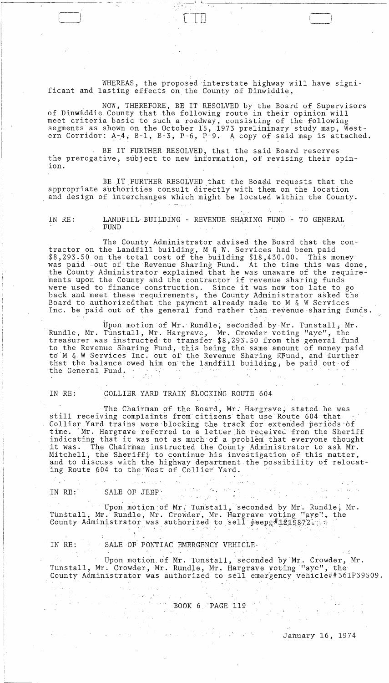WHEREAS, the proposed 'interstate highway will have significant and lasting effects on the County of Dinwiddie,

, \_\_\_\_\_\_\_\_\_\_\_\_\_\_\_\_\_\_\_\_\_\_\_\_\_\_\_\_\_\_ ~--------~~--~.~I--------------~~~--~---------------------

NOW, THEREFORE, BE IT RESOLVED by the Board of Supervisors of Dinwiddie County that the following route in their opinion will meet criteria basic to such a roadway, consisting of the following segments as shown on the October 15, 1973 preliminary study map, Western Corridor:  $A-4$ ,  $B-1$ ,  $B-3$ ,  $P-6$ ,  $P-9$ . A copy of said map is attached.

BE IT FURTHER RESOLVED, that the said Board reserves the prerogative, subject to new information, of revising their opinion.

BE IT FURTHER RESOLVED that the Board requests that the appropriate authorities consult directly with them on the location and design of interchanges which might be located within the County.

IN RE: LANDFILL BUILDING - REVENUE SHARING FUND - TO GENERAL FUND

The County Administrator advised the Board that the contractor on the Landfill building, M & W. Services had been paid \$8,293.50 on the total cost of the building \$18,430.00. This money was paid out of the Revenue Sharing Fund. At the time this was done, the County Administrator explained that he was unaware of the requirements upon the County and the contractor if revenue sharing funds ments upon the county and the contractor if revenue sharing funds<br>were used to finance construction. Since it was now too late to go back and meet these requirements, the County Administrator asked the Board to authorized that the payment already made to M & W Services Inc. be paid out of the general fund rather than revenue sharing funds.

Upon motion of Mr. Rundle, seconded by Mr. Tunstall, Mr. Rundle, Mr. Tunstall, Mr. Hargrave, Mr. Crowder voting "aye", the treasurer was instructed to transfer \$8,293.50 from the general fund to the Revenue Sharing Fund, this being the same amount of money paid to'M &' W Services Inc. out of the Revenue Sharing RFund, and further that the balance owed him on the landfill building, be paid out of the General Fund.

# IN RE: COLLIER YARD TRAIN BLOCKING ROUTE 604

The Chairman of the Board, Mr. Hargrave, stated he was still receiving complaints from citizens that use Route 604 that' Collier Yard trains were blocking the track for extended periods of time. Mr. Hargrave referred to a letter he received from the Sheriff indicating that it was not as much of a problem that everyone thought<br>it was. The Chairman instructed the County Administrator to ask Mr. The Chairman instructed the County Administrator to ask Mr. Mitchell, the Sheriff; to continue his investigation of this matter, and to discuss with the highway department the possibility of relocating Route 604 to the'West of Collier Yard.

IN RE: SALE OF JEEP the state of  $\mathcal{L}$ 

 $\frac{1}{2} \left( \frac{1}{2} \right)^{2} \left( \frac{1}{2} \right)^{2}$ 

Upon motion of Mr. Tunstall, seconded by Mr. Rundle; Mr. Tunstall, Mr. Rundle, Mr. Crowder, Mr. Hargrave voting "aye", the County Administrator was authorized to sell  $\frac{1}{9}$ eepg#1219872:

IN RE: SALE OF PONTIAC EMERGENCY VEHICLE-

 $\{1,2\}$  and

Upon motion of Mr. Tunstall, seconded by Mr. Crowder, Mr. Tunstall, Mr. Crowder, Mr. Rundle, Mr.. Hargrave voting "aye", the County Administrator was authorized to sell emergency vehicle##361P39509.

 $\langle \hat{z}_{\alpha} \rangle$ 

 $\sim$ 

ik Ch BOOK 6 'PAGE 119

 $\mathcal{A} \times \mathcal{A} \times \mathcal{B}$ 

 $\mathcal{A}=\mathcal{A}$  ,  $\mathcal{A}$ in Approximation of the Control

 $\begin{pmatrix} 1 & 1 \\ 1 & 1 \end{pmatrix}$